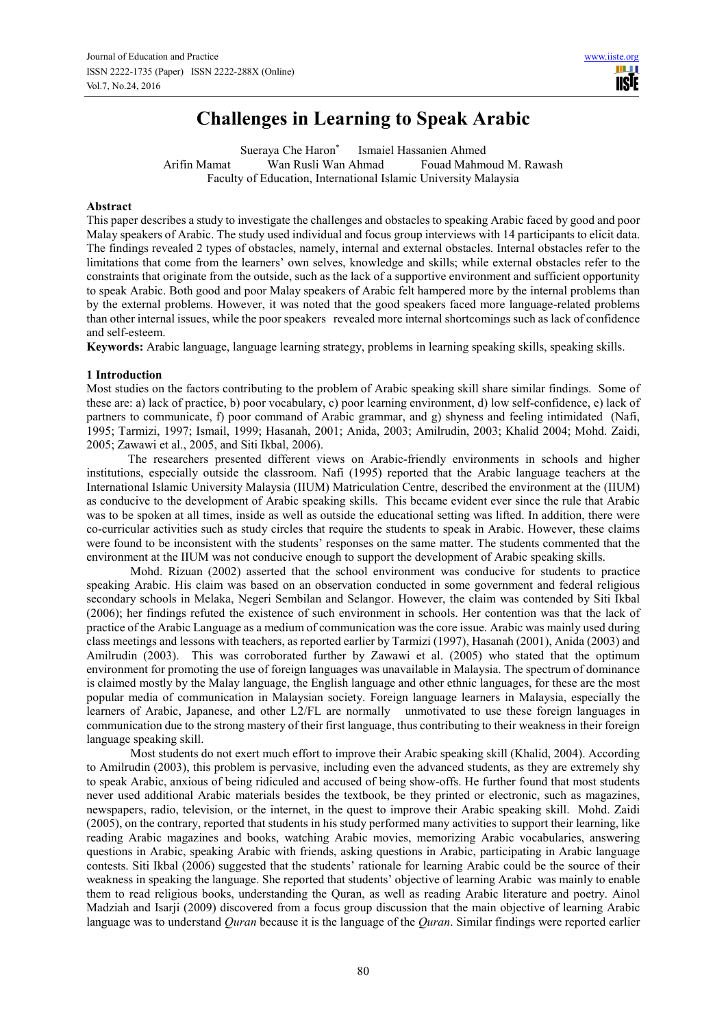# **Challenges in Learning to Speak Arabic**

Sueraya Che Haron\* Ismaiel Hassanien Ahmed Arifin Mamat Wan Rusli Wan Ahmad Fouad Mahmoud M. Rawash Faculty of Education, International Islamic University Malaysia

## **Abstract**

This paper describes a study to investigate the challenges and obstacles to speaking Arabic faced by good and poor Malay speakers of Arabic. The study used individual and focus group interviews with 14 participants to elicit data. The findings revealed 2 types of obstacles, namely, internal and external obstacles. Internal obstacles refer to the limitations that come from the learners' own selves, knowledge and skills; while external obstacles refer to the constraints that originate from the outside, such as the lack of a supportive environment and sufficient opportunity to speak Arabic. Both good and poor Malay speakers of Arabic felt hampered more by the internal problems than by the external problems. However, it was noted that the good speakers faced more language-related problems than other internal issues, while the poor speakers revealed more internal shortcomings such as lack of confidence and self-esteem.

**Keywords:** Arabic language, language learning strategy, problems in learning speaking skills, speaking skills.

## **1 Introduction**

Most studies on the factors contributing to the problem of Arabic speaking skill share similar findings. Some of these are: a) lack of practice, b) poor vocabulary, c) poor learning environment, d) low self-confidence, e) lack of partners to communicate, f) poor command of Arabic grammar, and g) shyness and feeling intimidated (Nafi, 1995; Tarmizi, 1997; Ismail, 1999; Hasanah, 2001; Anida, 2003; Amilrudin, 2003; Khalid 2004; Mohd. Zaidi, 2005; Zawawi et al., 2005, and Siti Ikbal, 2006).

The researchers presented different views on Arabic-friendly environments in schools and higher institutions, especially outside the classroom. Nafi (1995) reported that the Arabic language teachers at the International Islamic University Malaysia (IIUM) Matriculation Centre, described the environment at the (IIUM) as conducive to the development of Arabic speaking skills. This became evident ever since the rule that Arabic was to be spoken at all times, inside as well as outside the educational setting was lifted. In addition, there were co-curricular activities such as study circles that require the students to speak in Arabic. However, these claims were found to be inconsistent with the students' responses on the same matter. The students commented that the environment at the IIUM was not conducive enough to support the development of Arabic speaking skills.

Mohd. Rizuan (2002) asserted that the school environment was conducive for students to practice speaking Arabic. His claim was based on an observation conducted in some government and federal religious secondary schools in Melaka, Negeri Sembilan and Selangor. However, the claim was contended by Siti Ikbal (2006); her findings refuted the existence of such environment in schools. Her contention was that the lack of practice of the Arabic Language as a medium of communication was the core issue. Arabic was mainly used during class meetings and lessons with teachers, as reported earlier by Tarmizi (1997), Hasanah (2001), Anida (2003) and Amilrudin (2003). This was corroborated further by Zawawi et al. (2005) who stated that the optimum environment for promoting the use of foreign languages was unavailable in Malaysia. The spectrum of dominance is claimed mostly by the Malay language, the English language and other ethnic languages, for these are the most popular media of communication in Malaysian society. Foreign language learners in Malaysia, especially the learners of Arabic, Japanese, and other L2/FL are normally unmotivated to use these foreign languages in communication due to the strong mastery of their first language, thus contributing to their weakness in their foreign language speaking skill.

Most students do not exert much effort to improve their Arabic speaking skill (Khalid, 2004). According to Amilrudin (2003), this problem is pervasive, including even the advanced students, as they are extremely shy to speak Arabic, anxious of being ridiculed and accused of being show-offs. He further found that most students never used additional Arabic materials besides the textbook, be they printed or electronic, such as magazines, newspapers, radio, television, or the internet, in the quest to improve their Arabic speaking skill. Mohd. Zaidi (2005), on the contrary, reported that students in his study performed many activities to support their learning, like reading Arabic magazines and books, watching Arabic movies, memorizing Arabic vocabularies, answering questions in Arabic, speaking Arabic with friends, asking questions in Arabic, participating in Arabic language contests. Siti Ikbal (2006) suggested that the students' rationale for learning Arabic could be the source of their weakness in speaking the language. She reported that students' objective of learning Arabic was mainly to enable them to read religious books, understanding the Quran, as well as reading Arabic literature and poetry. Ainol Madziah and Isarji (2009) discovered from a focus group discussion that the main objective of learning Arabic language was to understand *Quran* because it is the language of the *Quran*. Similar findings were reported earlier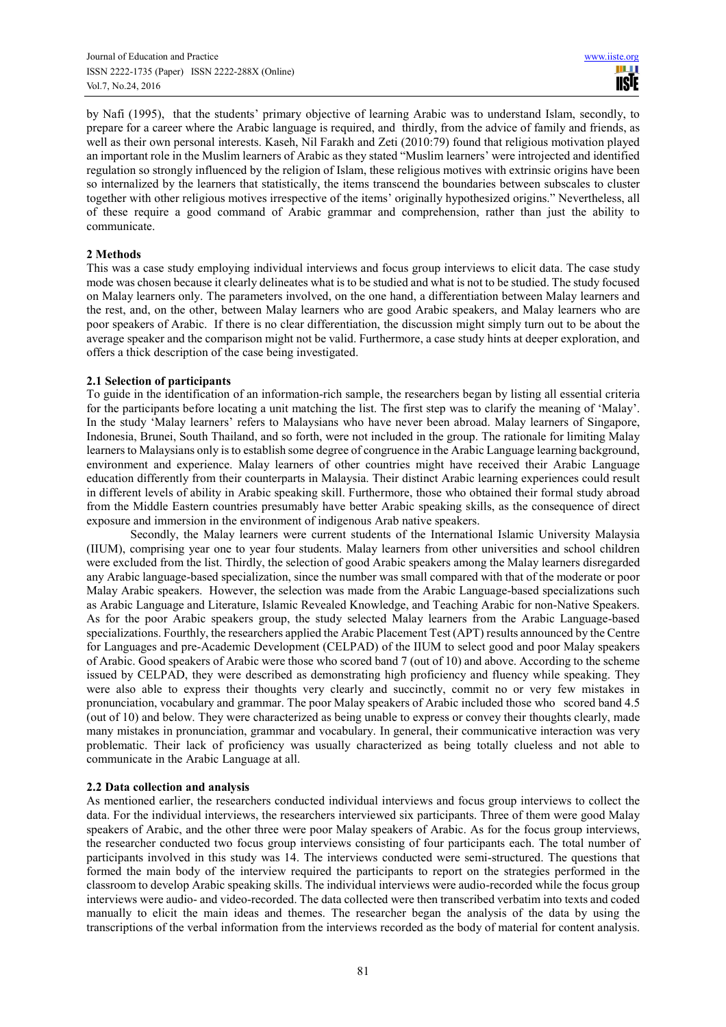by Nafi (1995), that the students' primary objective of learning Arabic was to understand Islam, secondly, to prepare for a career where the Arabic language is required, and thirdly, from the advice of family and friends, as well as their own personal interests. Kaseh, Nil Farakh and Zeti (2010:79) found that religious motivation played an important role in the Muslim learners of Arabic as they stated "Muslim learners' were introjected and identified regulation so strongly influenced by the religion of Islam, these religious motives with extrinsic origins have been so internalized by the learners that statistically, the items transcend the boundaries between subscales to cluster together with other religious motives irrespective of the items' originally hypothesized origins." Nevertheless, all of these require a good command of Arabic grammar and comprehension, rather than just the ability to communicate.

## **2 Methods**

This was a case study employing individual interviews and focus group interviews to elicit data. The case study mode was chosen because it clearly delineates what is to be studied and what is not to be studied. The study focused on Malay learners only. The parameters involved, on the one hand, a differentiation between Malay learners and the rest, and, on the other, between Malay learners who are good Arabic speakers, and Malay learners who are poor speakers of Arabic. If there is no clear differentiation, the discussion might simply turn out to be about the average speaker and the comparison might not be valid. Furthermore, a case study hints at deeper exploration, and offers a thick description of the case being investigated.

### **2.1 Selection of participants**

To guide in the identification of an information-rich sample, the researchers began by listing all essential criteria for the participants before locating a unit matching the list. The first step was to clarify the meaning of 'Malay'. In the study 'Malay learners' refers to Malaysians who have never been abroad. Malay learners of Singapore, Indonesia, Brunei, South Thailand, and so forth, were not included in the group. The rationale for limiting Malay learners to Malaysians only is to establish some degree of congruence in the Arabic Language learning background, environment and experience. Malay learners of other countries might have received their Arabic Language education differently from their counterparts in Malaysia. Their distinct Arabic learning experiences could result in different levels of ability in Arabic speaking skill. Furthermore, those who obtained their formal study abroad from the Middle Eastern countries presumably have better Arabic speaking skills, as the consequence of direct exposure and immersion in the environment of indigenous Arab native speakers.

Secondly, the Malay learners were current students of the International Islamic University Malaysia (IIUM), comprising year one to year four students. Malay learners from other universities and school children were excluded from the list. Thirdly, the selection of good Arabic speakers among the Malay learners disregarded any Arabic language-based specialization, since the number was small compared with that of the moderate or poor Malay Arabic speakers. However, the selection was made from the Arabic Language-based specializations such as Arabic Language and Literature, Islamic Revealed Knowledge, and Teaching Arabic for non-Native Speakers. As for the poor Arabic speakers group, the study selected Malay learners from the Arabic Language-based specializations. Fourthly, the researchers applied the Arabic Placement Test (APT) results announced by the Centre for Languages and pre-Academic Development (CELPAD) of the IIUM to select good and poor Malay speakers of Arabic. Good speakers of Arabic were those who scored band 7 (out of 10) and above. According to the scheme issued by CELPAD, they were described as demonstrating high proficiency and fluency while speaking. They were also able to express their thoughts very clearly and succinctly, commit no or very few mistakes in pronunciation, vocabulary and grammar. The poor Malay speakers of Arabic included those who scored band 4.5 (out of 10) and below. They were characterized as being unable to express or convey their thoughts clearly, made many mistakes in pronunciation, grammar and vocabulary. In general, their communicative interaction was very problematic. Their lack of proficiency was usually characterized as being totally clueless and not able to communicate in the Arabic Language at all.

## **2.2 Data collection and analysis**

As mentioned earlier, the researchers conducted individual interviews and focus group interviews to collect the data. For the individual interviews, the researchers interviewed six participants. Three of them were good Malay speakers of Arabic, and the other three were poor Malay speakers of Arabic. As for the focus group interviews, the researcher conducted two focus group interviews consisting of four participants each. The total number of participants involved in this study was 14. The interviews conducted were semi-structured. The questions that formed the main body of the interview required the participants to report on the strategies performed in the classroom to develop Arabic speaking skills. The individual interviews were audio-recorded while the focus group interviews were audio- and video-recorded. The data collected were then transcribed verbatim into texts and coded manually to elicit the main ideas and themes. The researcher began the analysis of the data by using the transcriptions of the verbal information from the interviews recorded as the body of material for content analysis.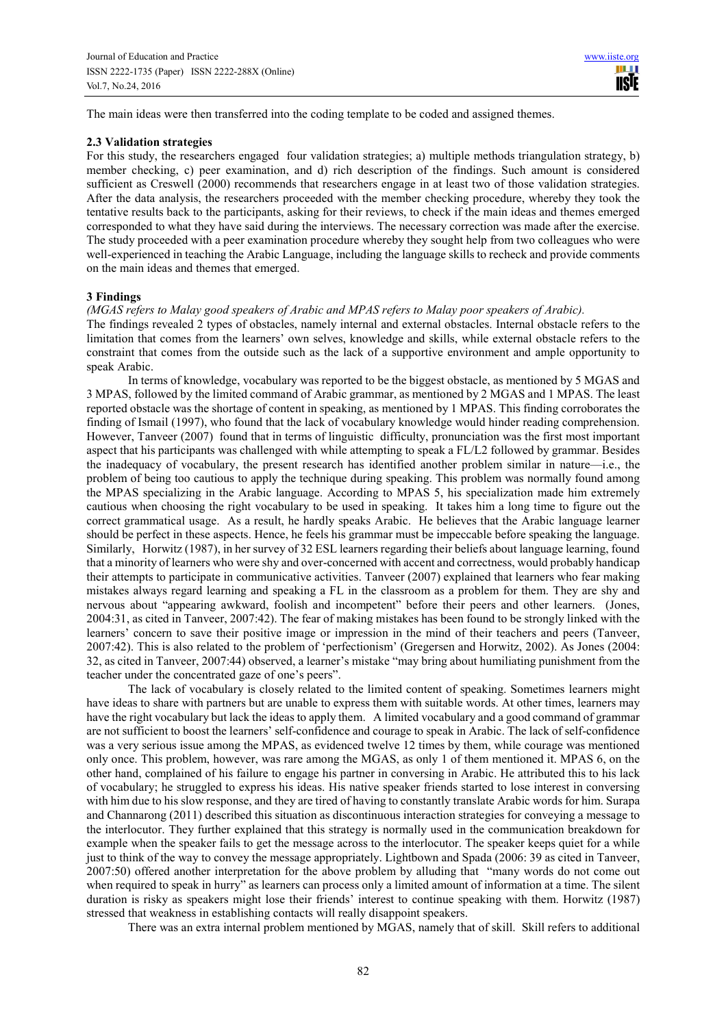The main ideas were then transferred into the coding template to be coded and assigned themes.

#### **2.3 Validation strategies**

For this study, the researchers engaged four validation strategies; a) multiple methods triangulation strategy, b) member checking, c) peer examination, and d) rich description of the findings. Such amount is considered sufficient as Creswell (2000) recommends that researchers engage in at least two of those validation strategies. After the data analysis, the researchers proceeded with the member checking procedure, whereby they took the tentative results back to the participants, asking for their reviews, to check if the main ideas and themes emerged corresponded to what they have said during the interviews. The necessary correction was made after the exercise. The study proceeded with a peer examination procedure whereby they sought help from two colleagues who were well-experienced in teaching the Arabic Language, including the language skills to recheck and provide comments on the main ideas and themes that emerged.

#### **3 Findings**

#### *(MGAS refers to Malay good speakers of Arabic and MPAS refers to Malay poor speakers of Arabic).*

The findings revealed 2 types of obstacles, namely internal and external obstacles. Internal obstacle refers to the limitation that comes from the learners' own selves, knowledge and skills, while external obstacle refers to the constraint that comes from the outside such as the lack of a supportive environment and ample opportunity to speak Arabic.

In terms of knowledge, vocabulary was reported to be the biggest obstacle, as mentioned by 5 MGAS and 3 MPAS, followed by the limited command of Arabic grammar, as mentioned by 2 MGAS and 1 MPAS. The least reported obstacle was the shortage of content in speaking, as mentioned by 1 MPAS. This finding corroborates the finding of Ismail (1997), who found that the lack of vocabulary knowledge would hinder reading comprehension. However, Tanveer (2007) found that in terms of linguistic difficulty, pronunciation was the first most important aspect that his participants was challenged with while attempting to speak a FL/L2 followed by grammar. Besides the inadequacy of vocabulary, the present research has identified another problem similar in nature—i.e., the problem of being too cautious to apply the technique during speaking. This problem was normally found among the MPAS specializing in the Arabic language. According to MPAS 5, his specialization made him extremely cautious when choosing the right vocabulary to be used in speaking. It takes him a long time to figure out the correct grammatical usage. As a result, he hardly speaks Arabic. He believes that the Arabic language learner should be perfect in these aspects. Hence, he feels his grammar must be impeccable before speaking the language. Similarly, Horwitz (1987), in her survey of 32 ESL learners regarding their beliefs about language learning, found that a minority of learners who were shy and over-concerned with accent and correctness, would probably handicap their attempts to participate in communicative activities. Tanveer (2007) explained that learners who fear making mistakes always regard learning and speaking a FL in the classroom as a problem for them. They are shy and nervous about "appearing awkward, foolish and incompetent" before their peers and other learners. (Jones, 2004:31, as cited in Tanveer, 2007:42). The fear of making mistakes has been found to be strongly linked with the learners' concern to save their positive image or impression in the mind of their teachers and peers (Tanveer, 2007:42). This is also related to the problem of 'perfectionism' (Gregersen and Horwitz, 2002). As Jones (2004: 32, as cited in Tanveer, 2007:44) observed, a learner's mistake "may bring about humiliating punishment from the teacher under the concentrated gaze of one's peers".

The lack of vocabulary is closely related to the limited content of speaking. Sometimes learners might have ideas to share with partners but are unable to express them with suitable words. At other times, learners may have the right vocabulary but lack the ideas to apply them. A limited vocabulary and a good command of grammar are not sufficient to boost the learners' self-confidence and courage to speak in Arabic. The lack of self-confidence was a very serious issue among the MPAS, as evidenced twelve 12 times by them, while courage was mentioned only once. This problem, however, was rare among the MGAS, as only 1 of them mentioned it. MPAS 6, on the other hand, complained of his failure to engage his partner in conversing in Arabic. He attributed this to his lack of vocabulary; he struggled to express his ideas. His native speaker friends started to lose interest in conversing with him due to his slow response, and they are tired of having to constantly translate Arabic words for him. Surapa and Channarong (2011) described this situation as discontinuous interaction strategies for conveying a message to the interlocutor. They further explained that this strategy is normally used in the communication breakdown for example when the speaker fails to get the message across to the interlocutor. The speaker keeps quiet for a while just to think of the way to convey the message appropriately. Lightbown and Spada (2006: 39 as cited in Tanveer, 2007:50) offered another interpretation for the above problem by alluding that "many words do not come out when required to speak in hurry" as learners can process only a limited amount of information at a time. The silent duration is risky as speakers might lose their friends' interest to continue speaking with them. Horwitz (1987) stressed that weakness in establishing contacts will really disappoint speakers.

There was an extra internal problem mentioned by MGAS, namely that of skill. Skill refers to additional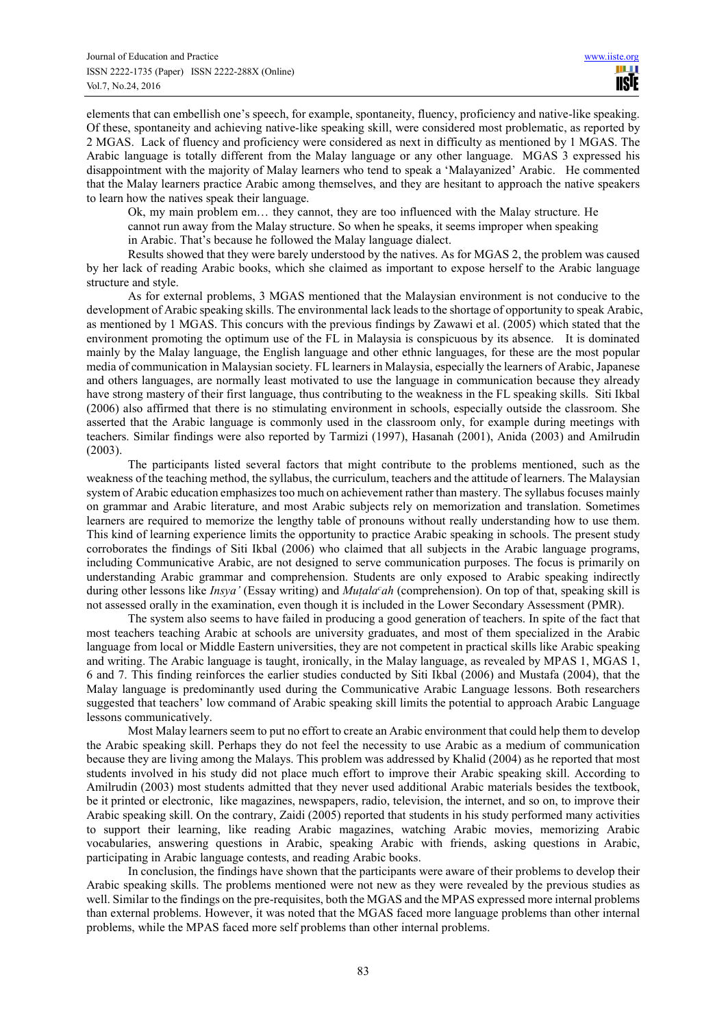elements that can embellish one's speech, for example, spontaneity, fluency, proficiency and native-like speaking. Of these, spontaneity and achieving native-like speaking skill, were considered most problematic, as reported by 2 MGAS. Lack of fluency and proficiency were considered as next in difficulty as mentioned by 1 MGAS. The Arabic language is totally different from the Malay language or any other language. MGAS 3 expressed his disappointment with the majority of Malay learners who tend to speak a 'Malayanized' Arabic. He commented that the Malay learners practice Arabic among themselves, and they are hesitant to approach the native speakers to learn how the natives speak their language.

Ok, my main problem em… they cannot, they are too influenced with the Malay structure. He cannot run away from the Malay structure. So when he speaks, it seems improper when speaking

in Arabic. That's because he followed the Malay language dialect.

Results showed that they were barely understood by the natives. As for MGAS 2, the problem was caused by her lack of reading Arabic books, which she claimed as important to expose herself to the Arabic language structure and style.

As for external problems, 3 MGAS mentioned that the Malaysian environment is not conducive to the development of Arabic speaking skills. The environmental lack leads to the shortage of opportunity to speak Arabic, as mentioned by 1 MGAS. This concurs with the previous findings by Zawawi et al. (2005) which stated that the environment promoting the optimum use of the FL in Malaysia is conspicuous by its absence. It is dominated mainly by the Malay language, the English language and other ethnic languages, for these are the most popular media of communication in Malaysian society. FL learners in Malaysia, especially the learners of Arabic, Japanese and others languages, are normally least motivated to use the language in communication because they already have strong mastery of their first language, thus contributing to the weakness in the FL speaking skills. Siti Ikbal (2006) also affirmed that there is no stimulating environment in schools, especially outside the classroom. She asserted that the Arabic language is commonly used in the classroom only, for example during meetings with teachers. Similar findings were also reported by Tarmizi (1997), Hasanah (2001), Anida (2003) and Amilrudin (2003).

The participants listed several factors that might contribute to the problems mentioned, such as the weakness of the teaching method, the syllabus, the curriculum, teachers and the attitude of learners. The Malaysian system of Arabic education emphasizes too much on achievement rather than mastery. The syllabus focuses mainly on grammar and Arabic literature, and most Arabic subjects rely on memorization and translation. Sometimes learners are required to memorize the lengthy table of pronouns without really understanding how to use them. This kind of learning experience limits the opportunity to practice Arabic speaking in schools. The present study corroborates the findings of Siti Ikbal (2006) who claimed that all subjects in the Arabic language programs, including Communicative Arabic, are not designed to serve communication purposes. The focus is primarily on understanding Arabic grammar and comprehension. Students are only exposed to Arabic speaking indirectly during other lessons like *Insya'* (Essay writing) and *Muṭala<sup>c</sup>ah* (comprehension). On top of that, speaking skill is not assessed orally in the examination, even though it is included in the Lower Secondary Assessment (PMR).

The system also seems to have failed in producing a good generation of teachers. In spite of the fact that most teachers teaching Arabic at schools are university graduates, and most of them specialized in the Arabic language from local or Middle Eastern universities, they are not competent in practical skills like Arabic speaking and writing. The Arabic language is taught, ironically, in the Malay language, as revealed by MPAS 1, MGAS 1, 6 and 7. This finding reinforces the earlier studies conducted by Siti Ikbal (2006) and Mustafa (2004), that the Malay language is predominantly used during the Communicative Arabic Language lessons. Both researchers suggested that teachers' low command of Arabic speaking skill limits the potential to approach Arabic Language lessons communicatively.

Most Malay learners seem to put no effort to create an Arabic environment that could help them to develop the Arabic speaking skill. Perhaps they do not feel the necessity to use Arabic as a medium of communication because they are living among the Malays. This problem was addressed by Khalid (2004) as he reported that most students involved in his study did not place much effort to improve their Arabic speaking skill. According to Amilrudin (2003) most students admitted that they never used additional Arabic materials besides the textbook, be it printed or electronic, like magazines, newspapers, radio, television, the internet, and so on, to improve their Arabic speaking skill. On the contrary, Zaidi (2005) reported that students in his study performed many activities to support their learning, like reading Arabic magazines, watching Arabic movies, memorizing Arabic vocabularies, answering questions in Arabic, speaking Arabic with friends, asking questions in Arabic, participating in Arabic language contests, and reading Arabic books.

In conclusion, the findings have shown that the participants were aware of their problems to develop their Arabic speaking skills. The problems mentioned were not new as they were revealed by the previous studies as well. Similar to the findings on the pre-requisites, both the MGAS and the MPAS expressed more internal problems than external problems. However, it was noted that the MGAS faced more language problems than other internal problems, while the MPAS faced more self problems than other internal problems.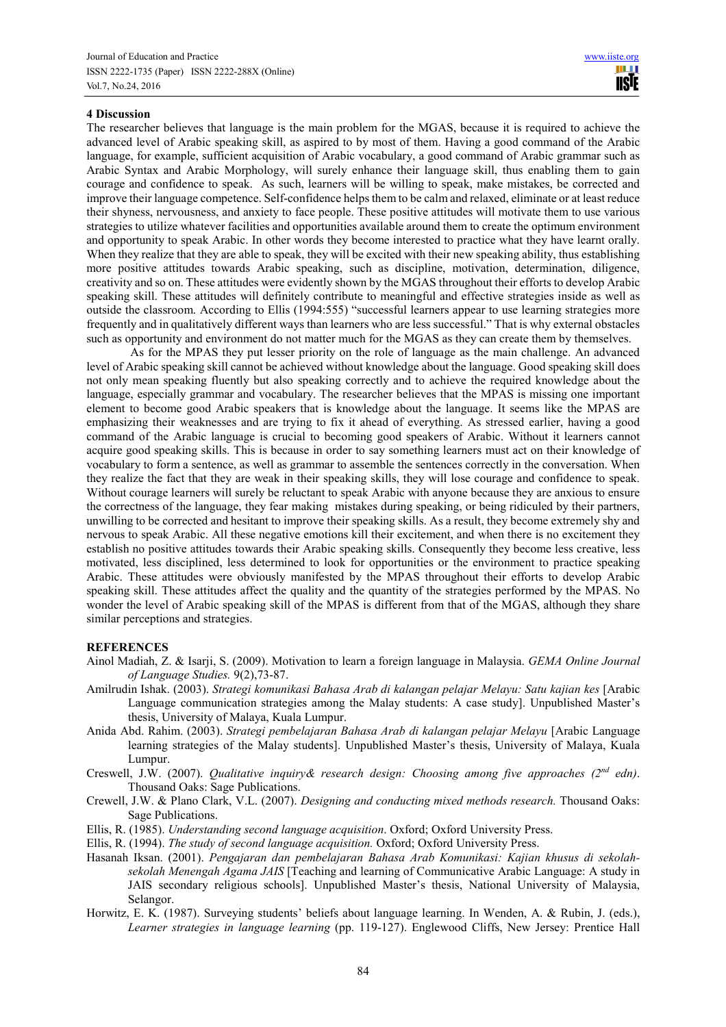#### **4 Discussion**

The researcher believes that language is the main problem for the MGAS, because it is required to achieve the advanced level of Arabic speaking skill, as aspired to by most of them. Having a good command of the Arabic language, for example, sufficient acquisition of Arabic vocabulary, a good command of Arabic grammar such as Arabic Syntax and Arabic Morphology, will surely enhance their language skill, thus enabling them to gain courage and confidence to speak. As such, learners will be willing to speak, make mistakes, be corrected and improve their language competence. Self-confidence helps them to be calm and relaxed, eliminate or at least reduce their shyness, nervousness, and anxiety to face people. These positive attitudes will motivate them to use various strategies to utilize whatever facilities and opportunities available around them to create the optimum environment and opportunity to speak Arabic. In other words they become interested to practice what they have learnt orally. When they realize that they are able to speak, they will be excited with their new speaking ability, thus establishing more positive attitudes towards Arabic speaking, such as discipline, motivation, determination, diligence, creativity and so on. These attitudes were evidently shown by the MGAS throughout their efforts to develop Arabic speaking skill. These attitudes will definitely contribute to meaningful and effective strategies inside as well as outside the classroom. According to Ellis (1994:555) "successful learners appear to use learning strategies more frequently and in qualitatively different ways than learners who are less successful." That is why external obstacles such as opportunity and environment do not matter much for the MGAS as they can create them by themselves.

As for the MPAS they put lesser priority on the role of language as the main challenge. An advanced level of Arabic speaking skill cannot be achieved without knowledge about the language. Good speaking skill does not only mean speaking fluently but also speaking correctly and to achieve the required knowledge about the language, especially grammar and vocabulary. The researcher believes that the MPAS is missing one important element to become good Arabic speakers that is knowledge about the language. It seems like the MPAS are emphasizing their weaknesses and are trying to fix it ahead of everything. As stressed earlier, having a good command of the Arabic language is crucial to becoming good speakers of Arabic. Without it learners cannot acquire good speaking skills. This is because in order to say something learners must act on their knowledge of vocabulary to form a sentence, as well as grammar to assemble the sentences correctly in the conversation. When they realize the fact that they are weak in their speaking skills, they will lose courage and confidence to speak. Without courage learners will surely be reluctant to speak Arabic with anyone because they are anxious to ensure the correctness of the language, they fear making mistakes during speaking, or being ridiculed by their partners, unwilling to be corrected and hesitant to improve their speaking skills. As a result, they become extremely shy and nervous to speak Arabic. All these negative emotions kill their excitement, and when there is no excitement they establish no positive attitudes towards their Arabic speaking skills. Consequently they become less creative, less motivated, less disciplined, less determined to look for opportunities or the environment to practice speaking Arabic. These attitudes were obviously manifested by the MPAS throughout their efforts to develop Arabic speaking skill. These attitudes affect the quality and the quantity of the strategies performed by the MPAS. No wonder the level of Arabic speaking skill of the MPAS is different from that of the MGAS, although they share similar perceptions and strategies.

## **REFERENCES**

- Ainol Madiah, Z. & Isarji, S. (2009). Motivation to learn a foreign language in Malaysia. *GEMA Online Journal of Language Studies.* 9(2),73-87.
- Amilrudin Ishak. (2003). *Strategi komunikasi Bahasa Arab di kalangan pelajar Melayu: Satu kajian kes* [Arabic Language communication strategies among the Malay students: A case study]. Unpublished Master's thesis, University of Malaya, Kuala Lumpur.
- Anida Abd. Rahim. (2003). *Strategi pembelajaran Bahasa Arab di kalangan pelajar Melayu* [Arabic Language learning strategies of the Malay students]. Unpublished Master's thesis, University of Malaya, Kuala Lumpur.
- Creswell, J.W. (2007). *Qualitative inquiry& research design: Choosing among five approaches (2nd edn)*. Thousand Oaks: Sage Publications.
- Crewell, J.W. & Plano Clark, V.L. (2007). *Designing and conducting mixed methods research.* Thousand Oaks: Sage Publications.
- Ellis, R. (1985). *Understanding second language acquisition*. Oxford; Oxford University Press.
- Ellis, R. (1994). *The study of second language acquisition.* Oxford; Oxford University Press.
- Hasanah Iksan. (2001). *Pengajaran dan pembelajaran Bahasa Arab Komunikasi: Kajian khusus di sekolahsekolah Menengah Agama JAIS* [Teaching and learning of Communicative Arabic Language: A study in JAIS secondary religious schools]. Unpublished Master's thesis, National University of Malaysia, Selangor.
- Horwitz, E. K. (1987). Surveying students' beliefs about language learning. In Wenden, A. & Rubin, J. (eds.), *Learner strategies in language learning* (pp. 119-127). Englewood Cliffs, New Jersey: Prentice Hall